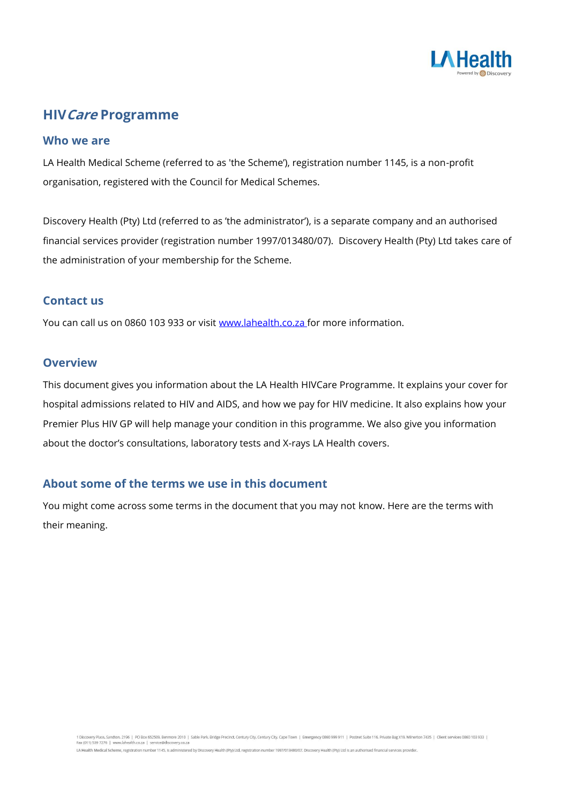

# **HIVCare Programme**

### **Who we are**

LA Health Medical Scheme (referred to as 'the Scheme'), registration number 1145, is a non-profit organisation, registered with the Council for Medical Schemes.

Discovery Health (Pty) Ltd (referred to as 'the administrator'), is a separate company and an authorised financial services provider (registration number 1997/013480/07). Discovery Health (Pty) Ltd takes care of the administration of your membership for the Scheme.

## **Contact us**

You can call us on 0860 103 933 or visit [www.lahealth.co.za f](http://www.lahealth.co.za/)or more information.

### **Overview**

This document gives you information about the LA Health HIVCare Programme. It explains your cover for hospital admissions related to HIV and AIDS, and how we pay for HIV medicine. It also explains how your Premier Plus HIV GP will help manage your condition in this programme. We also give you information about the doctor's consultations, laboratory tests and X-rays LA Health covers.

## **About some of the terms we use in this document**

You might come across some terms in the document that you may not know. Here are the terms with their meaning.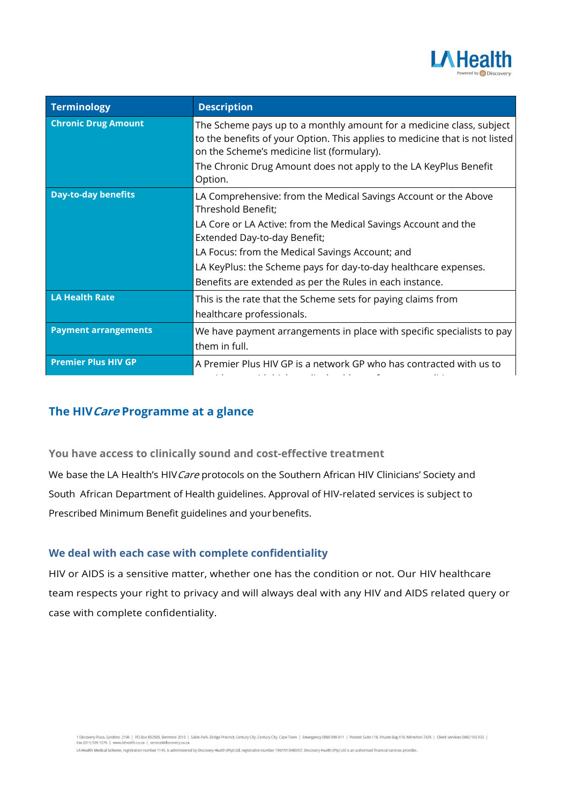

| Terminology                 | <b>Description</b>                                                                                                                                                                                                                                                                                                                                                        |
|-----------------------------|---------------------------------------------------------------------------------------------------------------------------------------------------------------------------------------------------------------------------------------------------------------------------------------------------------------------------------------------------------------------------|
| <b>Chronic Drug Amount</b>  | The Scheme pays up to a monthly amount for a medicine class, subject<br>to the benefits of your Option. This applies to medicine that is not listed<br>on the Scheme's medicine list (formulary).<br>The Chronic Drug Amount does not apply to the LA KeyPlus Benefit<br>Option.                                                                                          |
| <b>Day-to-day benefits</b>  | LA Comprehensive: from the Medical Savings Account or the Above<br>Threshold Benefit;<br>LA Core or LA Active: from the Medical Savings Account and the<br>Extended Day-to-day Benefit;<br>LA Focus: from the Medical Savings Account; and<br>LA KeyPlus: the Scheme pays for day-to-day healthcare expenses.<br>Benefits are extended as per the Rules in each instance. |
| LA Health Rate              | This is the rate that the Scheme sets for paying claims from<br>healthcare professionals.                                                                                                                                                                                                                                                                                 |
| <b>Payment arrangements</b> | We have payment arrangements in place with specific specialists to pay<br>them in full.                                                                                                                                                                                                                                                                                   |
| <b>Premier Plus HIV GP</b>  | A Premier Plus HIV GP is a network GP who has contracted with us to                                                                                                                                                                                                                                                                                                       |

# **The HIVCare Programme at a glance**

**You have access to clinically sound and cost-effective treatment** We base the LA Health's HIV Care protocols on the Southern African HIV Clinicians' Society and South African Department of Health guidelines. Approval of HIV-related services is subject to Prescribed Minimum Benefit guidelines and yourbenefits.

## **We deal with each case with complete confidentiality**

HIV or AIDS is a sensitive matter, whether one has the condition or not. Our HIV healthcare team respects your right to privacy and will always deal with any HIV and AIDS related query or case with complete confidentiality.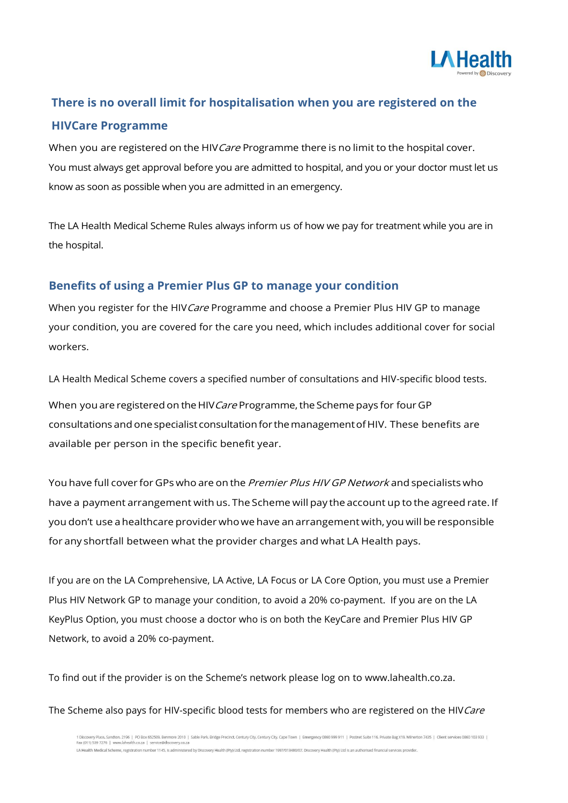

# **There is no overall limit for hospitalisation when you are registered on the HIVCare Programme**

When you are registered on the HIV Care Programme there is no limit to the hospital cover. You must always get approval before you are admitted to hospital, and you or your doctor must let us know as soon as possible when you are admitted in an emergency.

The LA Health Medical Scheme Rules always inform us of how we pay for treatment while you are in the hospital.

## **Benefits of using a Premier Plus GP to manage your condition**

When you register for the HIV Care Programme and choose a Premier Plus HIV GP to manage your condition, you are covered for the care you need, which includes additional cover for social workers.

LA Health Medical Scheme covers a specified number of consultations and HIV-specific blood tests.

When you are registered on the HIV Care Programme, the Scheme pays for four GP consultations and one specialist consultationfor themanagementofHIV. These benefits are available per person in the specific benefit year.

You have full cover for GPs who are on the Premier Plus HIV GP Network and specialists who have a payment arrangement with us. The Scheme will pay the account up to the agreed rate. If you don't use ahealthcare provider whowe have an arrangement with, you will be responsible for any shortfall between what the provider charges and what LA Health pays.

If you are on the LA Comprehensive, LA Active, LA Focus or LA Core Option, you must use a Premier Plus HIV Network GP to manage your condition, to avoid a 20% co-payment. If you are on the LA KeyPlus Option, you must choose a doctor who is on both the KeyCare and Premier Plus HIV GP Network, to avoid a 20% co-payment.

To find out if the provider is on the Scheme's network please log on to www.lahealth.co.za.

The Scheme also pays for HIV-specific blood tests for members who are registered on the HIV Care

1 Discovery Place, Sandton, 2196 | PO Box 652509, Benmore 2010 | Sable Park, Bridge Precinct, Century City, Century City, Cape Town | Emergency 0860 999 911 | Postnet Suite 116, Private Bag X19, Milnerton 7435 | Client ser LA Health Medical Scheme, registration number 1145, is administered by Discovery Health (Pty) Ltd, registration number 1997/013480/07. Discovery Health (Pty) Ltd is an authorised financial services provider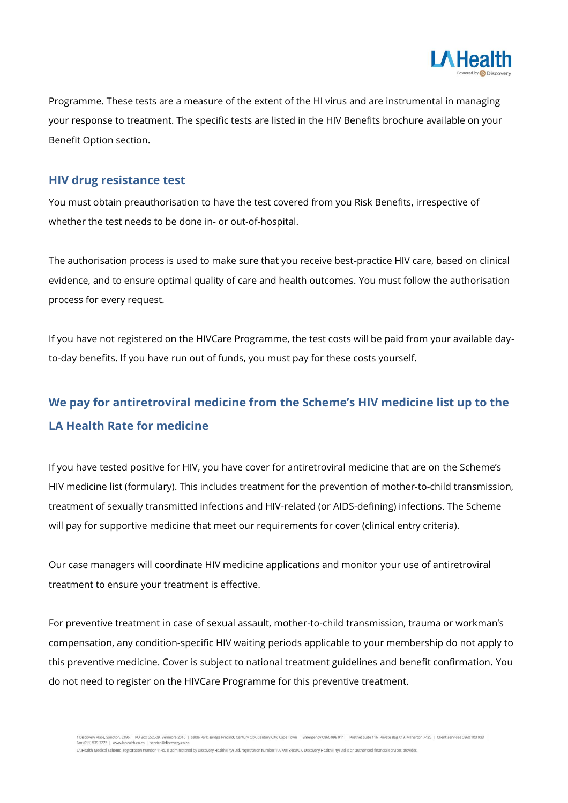

Programme. These tests are a measure of the extent of the HI virus and are instrumental in managing your response to treatment. The specific tests are listed in the HIV Benefits brochure available on your Benefit Option section.

### **HIV drug resistance test**

You must obtain preauthorisation to have the test covered from you Risk Benefits, irrespective of whether the test needs to be done in- or out-of-hospital.

The authorisation process is used to make sure that you receive best-practice HIV care, based on clinical evidence, and to ensure optimal quality of care and health outcomes. You must follow the authorisation process for every request.

If you have not registered on the HIVCare Programme, the test costs will be paid from your available dayto-day benefits. If you have run out of funds, you must pay for these costs yourself.

# **We pay for antiretroviral medicine from the Scheme's HIV medicine list up to the LA Health Rate for medicine**

If you have tested positive for HIV, you have cover for antiretroviral medicine that are on the Scheme's HIV medicine list (formulary). This includes treatment for the prevention of mother-to-child transmission, treatment of sexually transmitted infections and HIV-related (or AIDS-defining) infections. The Scheme will pay for supportive medicine that meet our requirements for cover (clinical entry criteria).

Our case managers will coordinate HIV medicine applications and monitor your use of antiretroviral treatment to ensure your treatment is effective.

For preventive treatment in case of sexual assault, mother-to-child transmission, trauma or workman's compensation, any condition-specific HIV waiting periods applicable to your membership do not apply to this preventive medicine. Cover is subject to national treatment guidelines and benefit confirmation. You do not need to register on the HIVCare Programme for this preventive treatment.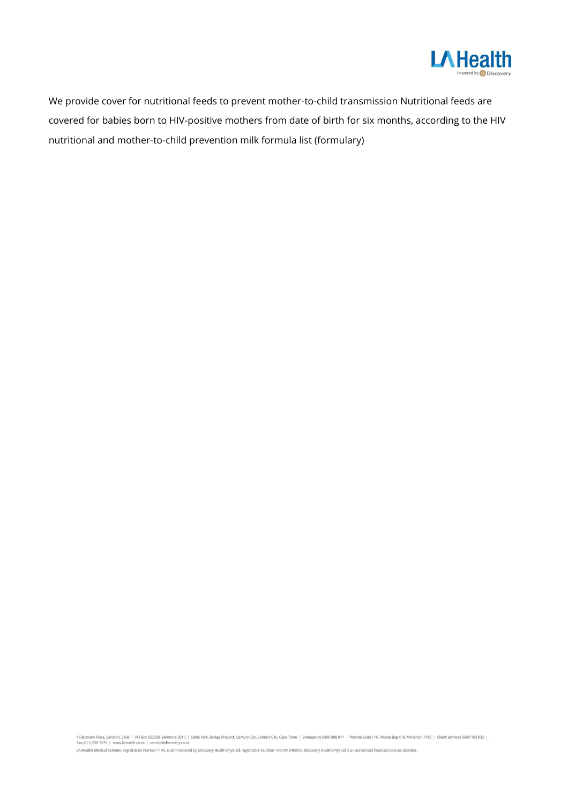

We provide cover for nutritional feeds to prevent mother-to-child transmission Nutritional feeds are covered for babies born to HIV-positive mothers from date of birth for six months, according to the HIV nutritional and mother-to-child prevention milk formula list (formulary)

1 Discovery Place, Sandton, 2196 | PO Box 652509, Benmore 2010 | Sable Park, Bridge Precinct, Century City, Century City, Cape Town | Emergency 0860 999 911 | Postnet Suite 116, Private Bag X19, Milnerton 7435 | Client ser

LA Health Medical Scheme, registration number 1145, is administered by Discovery Health (Pty) Ltd, registration number 1997/013480/07. Discovery Health (Pty) Ltd is an authorised financial services provider.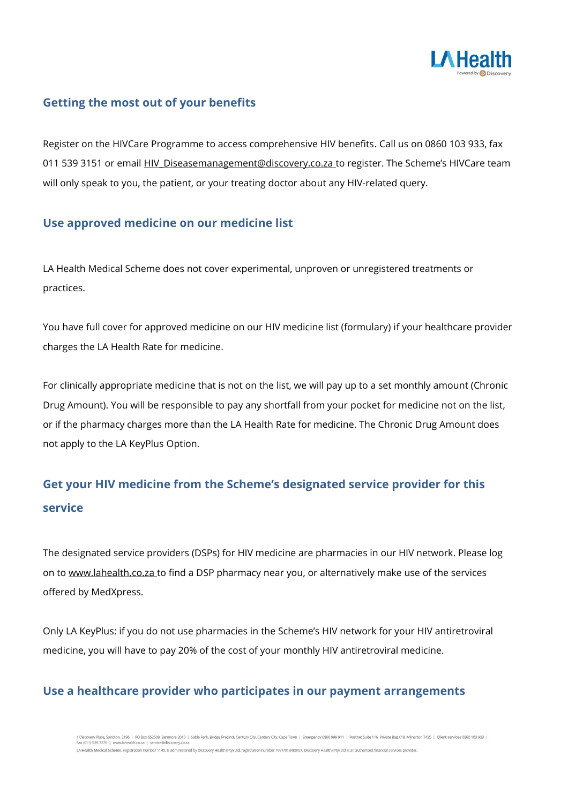

# **Getting the most out of your benefits**

Register on the HIVCare Programme to access comprehensive HIV benefits. Call us on 0860 103 933, fax 011 539 3151 or email [HIV\\_Diseasemanagement@discovery.co.za](mailto:HIV_Diseasemanagement@discovery.co.za) to register. The Scheme's HIVCare team will only speak to you, the patient, or your treating doctor about any HIV-related query.

# **Use approved medicine on our medicine list**

LA Health Medical Scheme does not cover experimental, unproven or unregistered treatments or practices.

You have full cover for approved medicine on our HIV medicine list (formulary) if your healthcare provider charges the LA Health Rate for medicine.

For clinically appropriate medicine that is not on the list, we will pay up to a set monthly amount (Chronic Drug Amount). You will be responsible to pay any shortfall from your pocket for medicine not on the list, or if the pharmacy charges more than the LA Health Rate for medicine. The Chronic Drug Amount does not apply to the LA KeyPlus Option.

# **Get your HIV medicine from the Scheme's designated service provider for this service**

The designated service providers (DSPs) for HIV medicine are pharmacies in our HIV network. Please log on to www.lahealth.co.za to find a DSP pharmacy near you, or alternatively make use of the services offered by MedXpress.

Only LA KeyPlus: if you do not use pharmacies in the Scheme's HIV network for your HIV antiretroviral medicine, you will have to pay 20% of the cost of your monthly HIV antiretroviral medicine.

# **Use a healthcare provider who participates in our payment arrangements**

ry Place, Sandton, 2196 | PO Box 652509, Benmore 2010 | Sable Park, Bridge Precinct, Century City, Century City, Cape Town | Emergency 0860 999 911 | Postnet Suite 116, Private Bag X19, Milnerton 7435 | Client services 086 Fax (011) 539 7276 | www.lahea th.co.za | service@discovery.co.za LA Health Medical Scheme, registration number 1145, is administered by Discovery Health (Pty) Ltd, registration number 1997/013480/07. Discovery Health (Pty) Ltd is an authorised financial services provider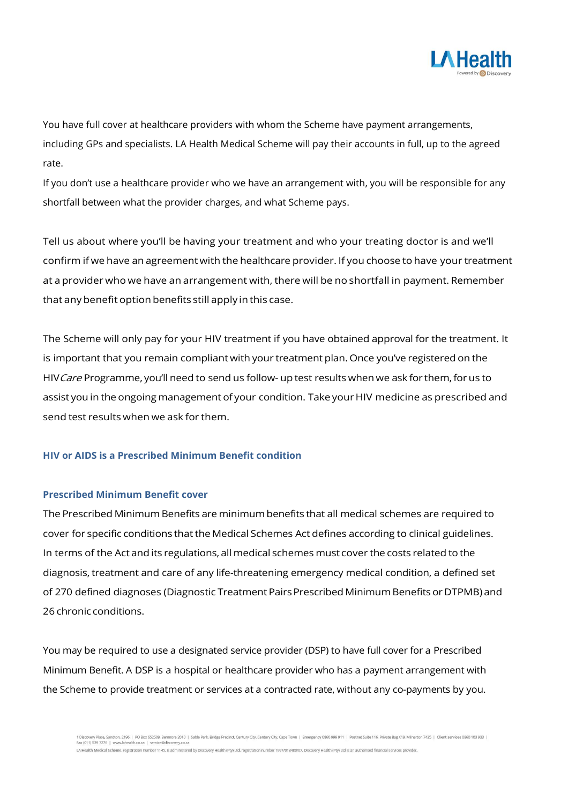

You have full cover at healthcare providers with whom the Scheme have payment arrangements, including GPs and specialists. LA Health Medical Scheme will pay their accounts in full, up to the agreed rate.

If you don't use a healthcare provider who we have an arrangement with, you will be responsible for any shortfall between what the provider charges, and what Scheme pays.

Tell us about where you'll be having your treatment and who your treating doctor is and we'll confirm if we have an agreement with the healthcare provider. If you choose to have your treatment at a provider who we have an arrangement with, there will be no shortfall in payment. Remember that any benefit option benefits still apply in this case.

The Scheme will only pay for your HIV treatment if you have obtained approval for the treatment. It is important that you remain compliant with your treatment plan. Once you've registered on the HIV Care Programme, you'll need to send us follow- up test results when we ask for them, for us to assist you in the ongoing management of your condition. Take your HIV medicine as prescribed and send test results when we ask for them.

#### **HIV or AIDS is a Prescribed Minimum Benefit condition**

#### **Prescribed Minimum Benefit cover**

The Prescribed Minimum Benefits are minimumbenefits that all medical schemes are required to cover for specific conditions that the Medical Schemes Act defines according to clinical guidelines. In terms of the Act and its regulations, all medical schemes must cover the costs related to the diagnosis, treatment and care of any life-threatening emergency medical condition, a defined set of 270 defined diagnoses (Diagnostic Treatment Pairs Prescribed Minimum Benefits or DTPMB) and 26 chronic conditions.

You may be required to use a designated service provider (DSP) to have full cover for a Prescribed Minimum Benefit. A DSP is a hospital or healthcare provider who has a payment arrangement with the Scheme to provide treatment or services at a contracted rate, without any co-payments by you.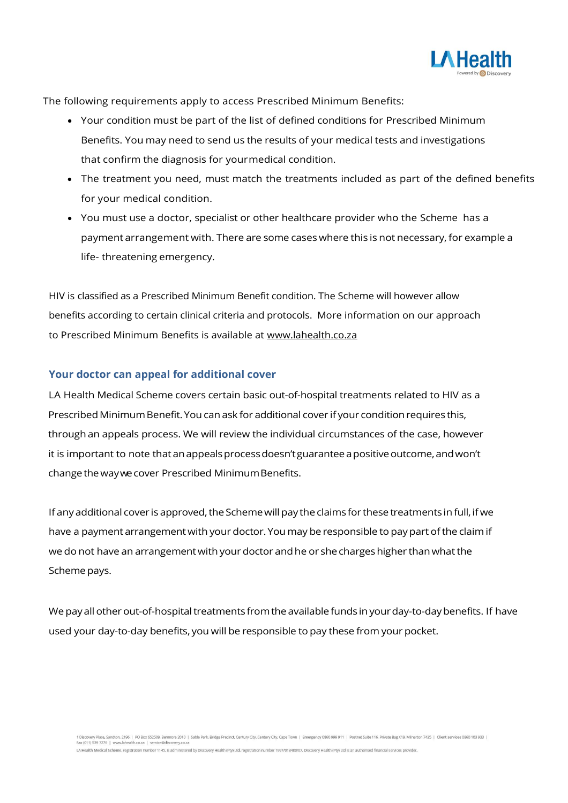

The following requirements apply to access Prescribed Minimum Benefits:

- Your condition must be part of the list of defined conditions for Prescribed Minimum Benefits. You may need to send us the results of your medical tests and investigations that confirm the diagnosis for yourmedical condition.
- The treatment you need, must match the treatments included as part of the defined benefits for your medical condition.
- You must use a doctor, specialist or other healthcare provider who the Scheme has a payment arrangement with. There are some cases where this is not necessary, for example a life- threatening emergency.

HIV is classified as a Prescribed Minimum Benefit condition. The Scheme will however allow benefits according to certain clinical criteria and protocols. More information on our approach to Prescribed Minimum Benefits is available at [www.lahealth.co.za](http://www.lahealth.co.za/)

### **Your doctor can appeal for additional cover**

LA Health Medical Scheme covers certain basic out-of-hospital treatments related to HIV as a Prescribed Minimum Benefit. You can ask for additional cover if your condition requires this, through an appeals process. We will review the individual circumstances of the case, however it is important to note that an appeals process doesn't guarantee a positive outcome, and won't change thewaywecover Prescribed MinimumBenefits.

If any additional cover is approved, the Scheme will pay the claims for these treatments in full, if we have a payment arrangement with your doctor. You may be responsible to pay part of the claim if we do not have an arrangement with your doctor and he or she charges higher than what the Scheme pays.

We pay all other out-of-hospital treatments from the available funds in your day-to-day benefits. If have used your day-to-day benefits, you will be responsible to pay these from your pocket.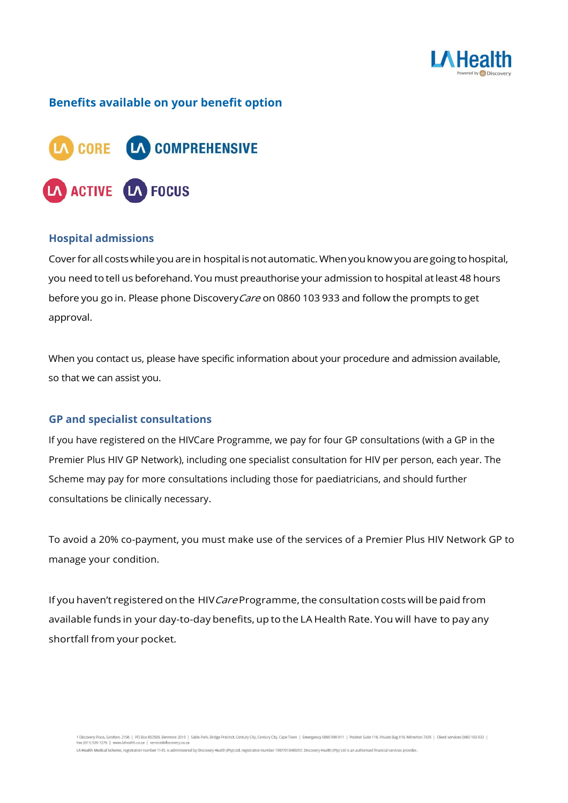

# **Benefits available on your benefit option**



#### **Hospital admissions**

Cover for all costs while you are in hospital is not automatic. When you know you are going to hospital, you need totell us beforehand.You must preauthorise your admission to hospital atleast 48 hours before you go in. Please phone Discovery Care on 0860 103 933 and follow the prompts to get approval.

When you contact us, please have specific information about your procedure and admission available, so that we can assist you.

#### **GP and specialist consultations**

If you have registered on the HIVCare Programme, we pay for four GP consultations (with a GP in the Premier Plus HIV GP Network), including one specialist consultation for HIV per person, each year. The Scheme may pay for more consultations including those for paediatricians, and should further consultations be clinically necessary.

To avoid a 20% co-payment, you must make use of the services of a Premier Plus HIV Network GP to manage your condition.

If you haven't registered on the HIV Care Programme, the consultation costs will be paid from available funds in your day-to-day benefits, up to the LA Health Rate. You will have to pay any shortfall from your pocket.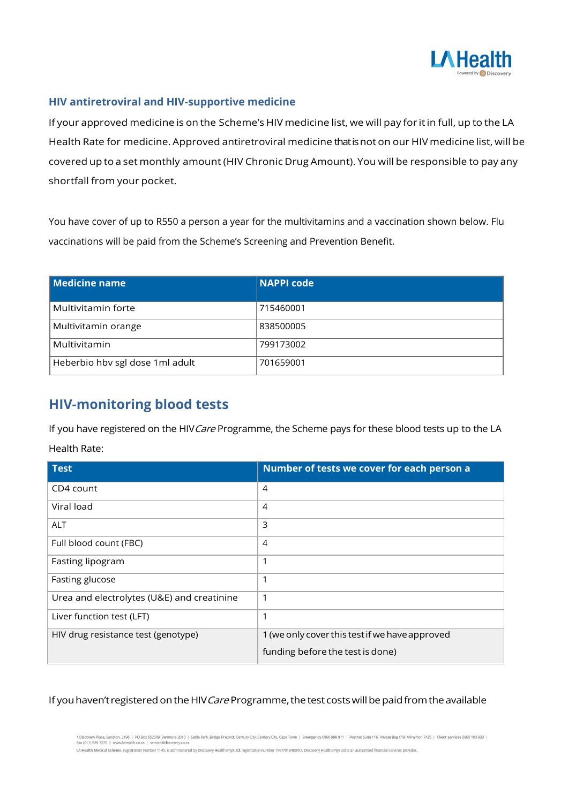

### **HIV antiretroviral and HIV-supportive medicine**

If your approved medicine is on the Scheme's HIV medicine list, we will pay for itin full, up to the LA Health Rate for medicine. Approved antiretroviral medicine that is not on our HIV medicine list, will be covered up to a set monthly amount (HIV Chronic Drug Amount). You will be responsible to pay any shortfall from your pocket.

You have cover of up to R550 a person a year for the multivitamins and a vaccination shown below. Flu vaccinations will be paid from the Scheme's Screening and Prevention Benefit.

| Medicine name                   | <b>NAPPI code</b> |
|---------------------------------|-------------------|
| Multivitamin forte              | 715460001         |
| Multivitamin orange             | 838500005         |
| Multivitamin                    | 799173002         |
| Heberbio hbv sgl dose 1ml adult | 701659001         |

# **HIV-monitoring blood tests**

If you have registered on the HIV Care Programme, the Scheme pays for these blood tests up to the LA Health Rate:

| <b>Test</b>                                | Number of tests we cover for each person a     |
|--------------------------------------------|------------------------------------------------|
| CD4 count                                  | $\overline{4}$                                 |
| Viral load                                 | $\overline{4}$                                 |
| <b>ALT</b>                                 | 3                                              |
| Full blood count (FBC)                     | $\overline{4}$                                 |
| Fasting lipogram                           | 1                                              |
| Fasting glucose                            | 1                                              |
| Urea and electrolytes (U&E) and creatinine | $\mathbf 1$                                    |
| Liver function test (LFT)                  | $\mathbf 1$                                    |
| HIV drug resistance test (genotype)        | 1 (we only cover this test if we have approved |
|                                            | funding before the test is done)               |

### If you haven't registered on the HIV Care Programme, the test costs will be paid from the available

1 Discovery Place, Sandton, 2196 | PO Box 652509, Benmore 2010 | Sable Park, Bridge Precinct, Century City, Century City, Cape Town | Emergency 0860 999 911 | Postnet Suite 116, Private Bag X19, Milnerton 7435 | Client ser LA Health Medical Scheme, registration number 1145, is administered by Discovery Health (Pty) Ltd, registration number 1997/013480/07. Discovery Health (Pty) Ltd is an authorised financial services provider.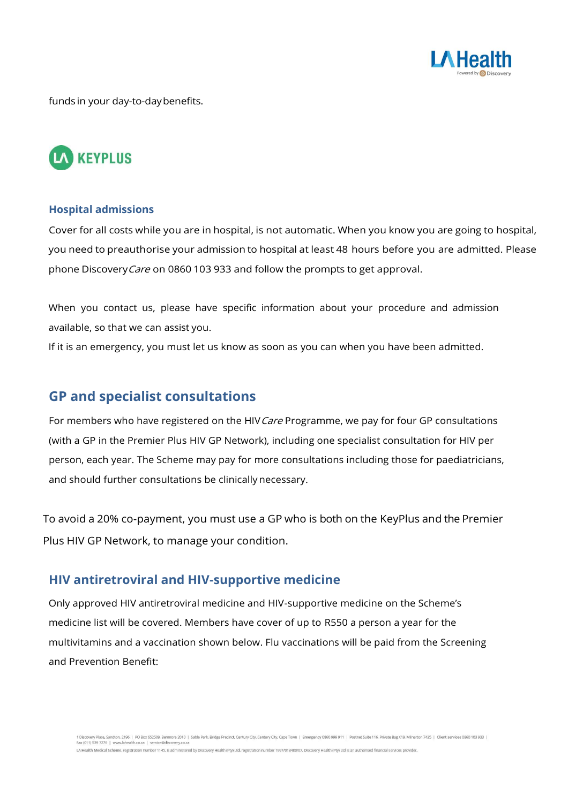

funds in your day-to-daybenefits.



#### **Hospital admissions**

Cover for all costs while you are in hospital, is not automatic. When you know you are going to hospital, you need to preauthorise your admission to hospital at least 48 hours before you are admitted. Please phone DiscoveryCare on 0860 103 933 and follow the prompts to get approval.

When you contact us, please have specific information about your procedure and admission available, so that we can assist you.

If it is an emergency, you must let us know as soon as you can when you have been admitted.

# **GP and specialist consultations**

For members who have registered on the HIV Care Programme, we pay for four GP consultations (with a GP in the Premier Plus HIV GP Network), including one specialist consultation for HIV per person, each year. The Scheme may pay for more consultations including those for paediatricians, and should further consultations be clinically necessary.

To avoid a 20% co-payment, you must use a GP who is both on the KeyPlus and the Premier Plus HIV GP Network, to manage your condition.

## **HIV antiretroviral and HIV-supportive medicine**

Only approved HIV antiretroviral medicine and HIV-supportive medicine on the Scheme's medicine list will be covered. Members have cover of up to R550 a person a year for the multivitamins and a vaccination shown below. Flu vaccinations will be paid from the Screening and Prevention Benefit: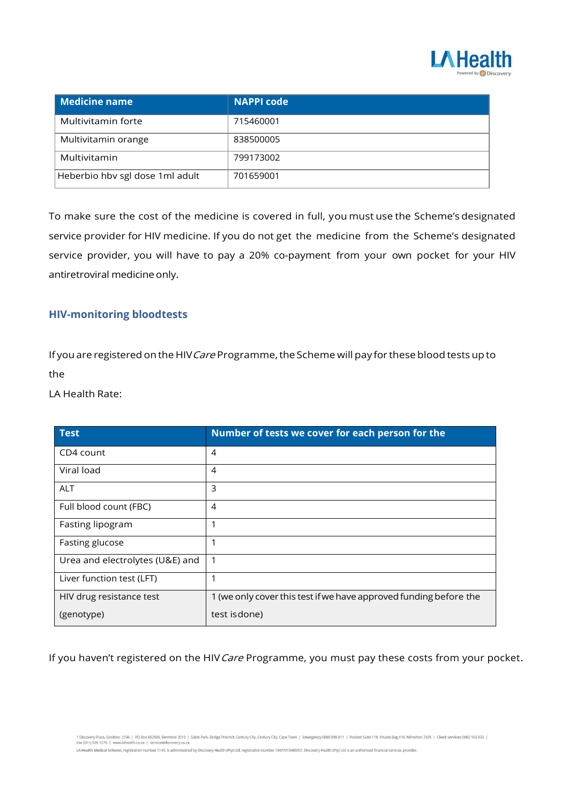

| Medicine name                   | <b>NAPPI code</b> |
|---------------------------------|-------------------|
| Multivitamin forte              | 715460001         |
| Multivitamin orange             | 838500005         |
| Multivitamin                    | 799173002         |
| Heberbio hbv sgl dose 1ml adult | 701659001         |

To make sure the cost of the medicine is covered in full, you must use the Scheme's designated service provider for HIV medicine. If you do not get the medicine from the Scheme's designated service provider, you will have to pay a 20% co-payment from your own pocket for your HIV antiretroviral medicine only.

## **HIV-monitoring bloodtests**

If you are registered on the HIV Care Programme, the Scheme will pay for these blood tests up to the

LA Health Rate:

| <b>Test</b>                     | Number of tests we cover for each person for the                  |
|---------------------------------|-------------------------------------------------------------------|
| CD4 count                       | 4                                                                 |
| Viral load                      | 4                                                                 |
| <b>ALT</b>                      | 3                                                                 |
| Full blood count (FBC)          | 4                                                                 |
| Fasting lipogram                | 1                                                                 |
| Fasting glucose                 | 1                                                                 |
| Urea and electrolytes (U&E) and | 1                                                                 |
| Liver function test (LFT)       | 1                                                                 |
| HIV drug resistance test        | 1 (we only cover this test if we have approved funding before the |
| (genotype)                      | test is done)                                                     |

If you haven't registered on the HIV Care Programme, you must pay these costs from your pocket.